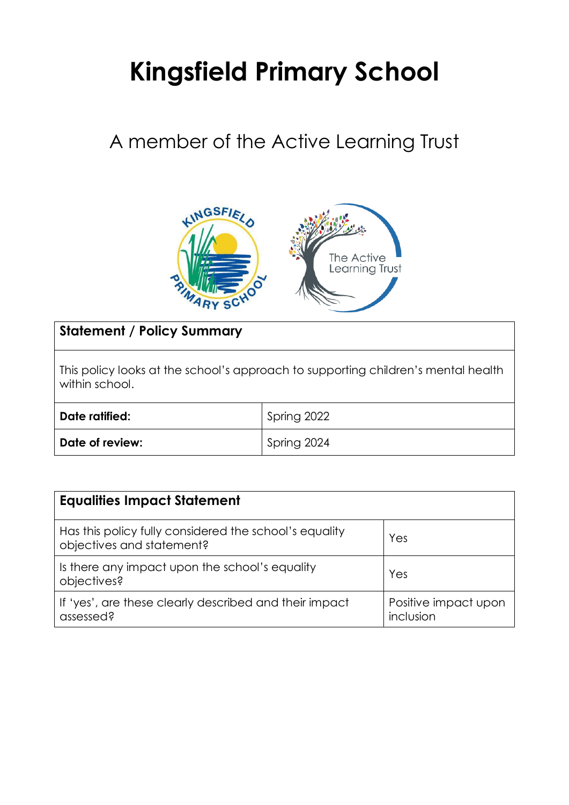# **Kingsfield Primary School**

## A member of the Active Learning Trust



### **Statement / Policy Summary**

This policy looks at the school's approach to supporting children's mental health within school.

| Date ratified:  | Spring 2022 |
|-----------------|-------------|
| Date of review: | Spring 2024 |

| <b>Equalities Impact Statement</b>                                                  |                                   |
|-------------------------------------------------------------------------------------|-----------------------------------|
| Has this policy fully considered the school's equality<br>objectives and statement? | Yes                               |
| Is there any impact upon the school's equality<br>objectives?                       | Yes                               |
| If 'yes', are these clearly described and their impact<br>assessed?                 | Positive impact upon<br>inclusion |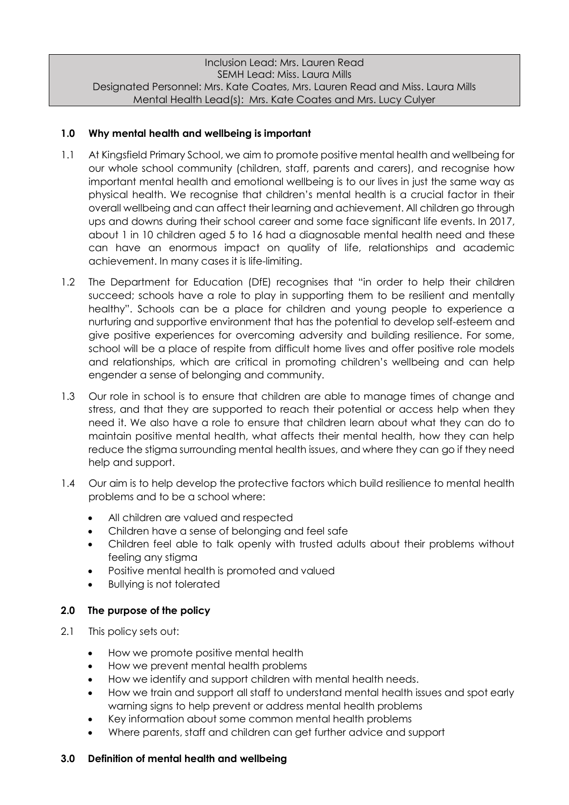#### Inclusion Lead: Mrs. Lauren Read SEMH Lead: Miss. Laura Mills Designated Personnel: Mrs. Kate Coates, Mrs. Lauren Read and Miss. Laura Mills Mental Health Lead(s): Mrs. Kate Coates and Mrs. Lucy Culyer

#### **1.0 Why mental health and wellbeing is important**

- 1.1 At Kingsfield Primary School, we aim to promote positive mental health and wellbeing for our whole school community (children, staff, parents and carers), and recognise how important mental health and emotional wellbeing is to our lives in just the same way as physical health. We recognise that children's mental health is a crucial factor in their overall wellbeing and can affect their learning and achievement. All children go through ups and downs during their school career and some face significant life events. In 2017, about 1 in 10 children aged 5 to 16 had a diagnosable mental health need and these can have an enormous impact on quality of life, relationships and academic achievement. In many cases it is life-limiting.
- 1.2 The Department for Education (DfE) recognises that "in order to help their children succeed; schools have a role to play in supporting them to be resilient and mentally healthy". Schools can be a place for children and young people to experience a nurturing and supportive environment that has the potential to develop self-esteem and give positive experiences for overcoming adversity and building resilience. For some, school will be a place of respite from difficult home lives and offer positive role models and relationships, which are critical in promoting children's wellbeing and can help engender a sense of belonging and community.
- 1.3 Our role in school is to ensure that children are able to manage times of change and stress, and that they are supported to reach their potential or access help when they need it. We also have a role to ensure that children learn about what they can do to maintain positive mental health, what affects their mental health, how they can help reduce the stigma surrounding mental health issues, and where they can go if they need help and support.
- 1.4 Our aim is to help develop the protective factors which build resilience to mental health problems and to be a school where:
	- All children are valued and respected
	- Children have a sense of belonging and feel safe
	- Children feel able to talk openly with trusted adults about their problems without feeling any stigma
	- Positive mental health is promoted and valued
	- Bullying is not tolerated

#### **2.0 The purpose of the policy**

- 2.1 This policy sets out:
	- How we promote positive mental health
	- How we prevent mental health problems
	- How we identify and support children with mental health needs.
	- How we train and support all staff to understand mental health issues and spot early warning signs to help prevent or address mental health problems
	- Key information about some common mental health problems
	- Where parents, staff and children can get further advice and support

#### **3.0 Definition of mental health and wellbeing**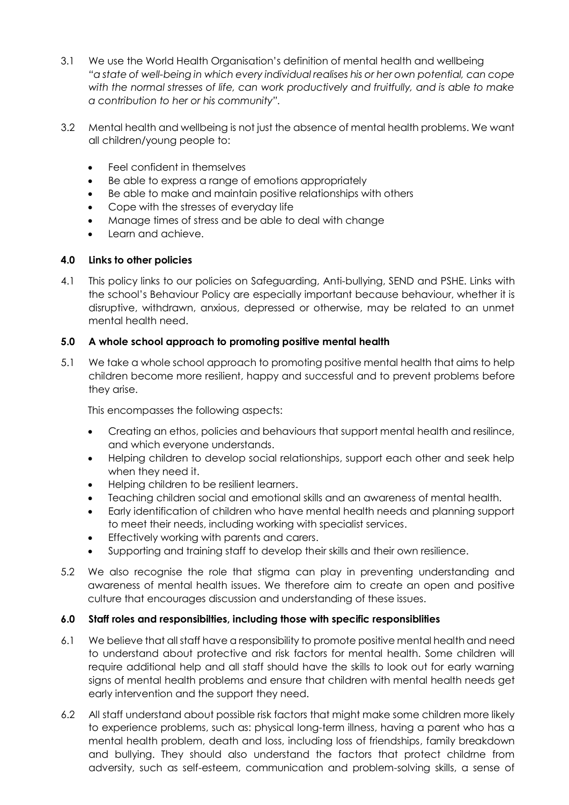- 3.1 We use the World Health Organisation's definition of mental health and wellbeing *"a state of well-being in which every individual realises his or her own potential, can cope with the normal stresses of life, can work productively and fruitfully, and is able to make a contribution to her or his community".*
- 3.2 Mental health and wellbeing is not just the absence of mental health problems. We want all children/young people to:
	- Feel confident in themselves
	- Be able to express a range of emotions appropriately
	- Be able to make and maintain positive relationships with others
	- Cope with the stresses of everyday life
	- Manage times of stress and be able to deal with change
	- Learn and achieve.

#### **4.0 Links to other policies**

4.1 This policy links to our policies on Safeguarding, Anti-bullying, SEND and PSHE. Links with the school's Behaviour Policy are especially important because behaviour, whether it is disruptive, withdrawn, anxious, depressed or otherwise, may be related to an unmet mental health need.

#### **5.0 A whole school approach to promoting positive mental health**

5.1 We take a whole school approach to promoting positive mental health that aims to help children become more resilient, happy and successful and to prevent problems before they arise.

This encompasses the following aspects:

- Creating an ethos, policies and behaviours that support mental health and resilince, and which everyone understands.
- Helping children to develop social relationships, support each other and seek help when they need it.
- Helping children to be resilient learners.
- Teaching children social and emotional skills and an awareness of mental health.
- Early identification of children who have mental health needs and planning support to meet their needs, including working with specialist services.
- Effectively working with parents and carers.
- Supporting and training staff to develop their skills and their own resilience.
- 5.2 We also recognise the role that stigma can play in preventing understanding and awareness of mental health issues. We therefore aim to create an open and positive culture that encourages discussion and understanding of these issues.

#### **6.0 Staff roles and responsibilties, including those with specific responsiblities**

- 6.1 We believe that all staff have a responsibility to promote positive mental health and need to understand about protective and risk factors for mental health. Some children will require additional help and all staff should have the skills to look out for early warning signs of mental health problems and ensure that children with mental health needs get early intervention and the support they need.
- 6.2 All staff understand about possible risk factors that might make some children more likely to experience problems, such as: physical long-term illness, having a parent who has a mental health problem, death and loss, including loss of friendships, family breakdown and bullying. They should also understand the factors that protect childrne from adversity, such as self-esteem, communication and problem-solving skills, a sense of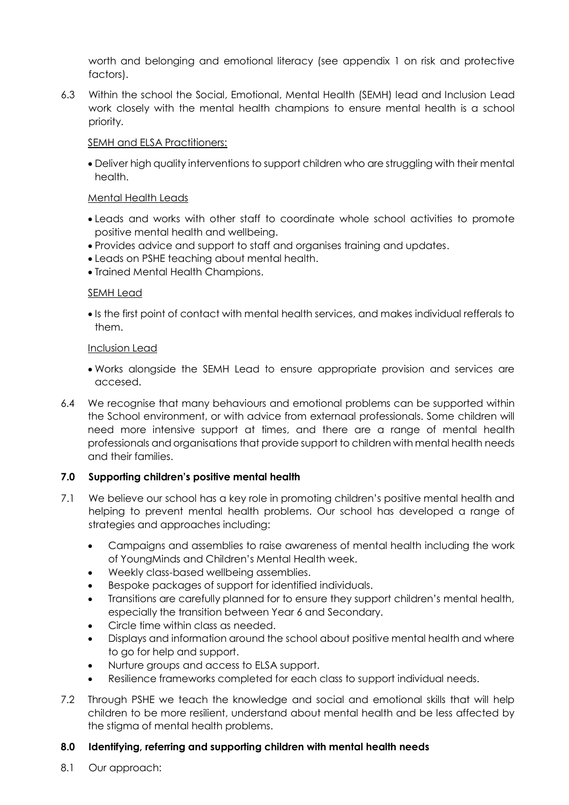worth and belonging and emotional literacy (see appendix 1 on risk and protective factors).

6.3 Within the school the Social, Emotional, Mental Health (SEMH) lead and Inclusion Lead work closely with the mental health champions to ensure mental health is a school priority.

#### SEMH and ELSA Practitioners:

 Deliver high quality interventions to support children who are struggling with their mental health.

#### Mental Health Leads

- Leads and works with other staff to coordinate whole school activities to promote positive mental health and wellbeing.
- Provides advice and support to staff and organises training and updates.
- Leads on PSHE teaching about mental health.
- Trained Mental Health Champions.

#### SEMH Lead

 Is the first point of contact with mental health services, and makes individual refferals to them.

#### Inclusion Lead

- Works alongside the SEMH Lead to ensure appropriate provision and services are accesed.
- 6.4 We recognise that many behaviours and emotional problems can be supported within the School environment, or with advice from externaal professionals. Some children will need more intensive support at times, and there are a range of mental health professionals and organisations that provide support to children with mental health needs and their families.

#### **7.0 Supporting children's positive mental health**

- 7.1 We believe our school has a key role in promoting children's positive mental health and helping to prevent mental health problems. Our school has developed a range of strategies and approaches including:
	- Campaigns and assemblies to raise awareness of mental health including the work of YoungMinds and Children's Mental Health week.
	- Weekly class-based wellbeing assemblies.
	- Bespoke packages of support for identified individuals.
	- Transitions are carefully planned for to ensure they support children's mental health, especially the transition between Year 6 and Secondary.
	- Circle time within class as needed.
	- Displays and information around the school about positive mental health and where to go for help and support.
	- Nurture groups and access to ELSA support.
	- Resilience frameworks completed for each class to support individual needs.
- 7.2 Through PSHE we teach the knowledge and social and emotional skills that will help children to be more resilient, understand about mental health and be less affected by the stigma of mental health problems.

#### **8.0 Identifying, referring and supporting children with mental health needs**

8.1 Our approach: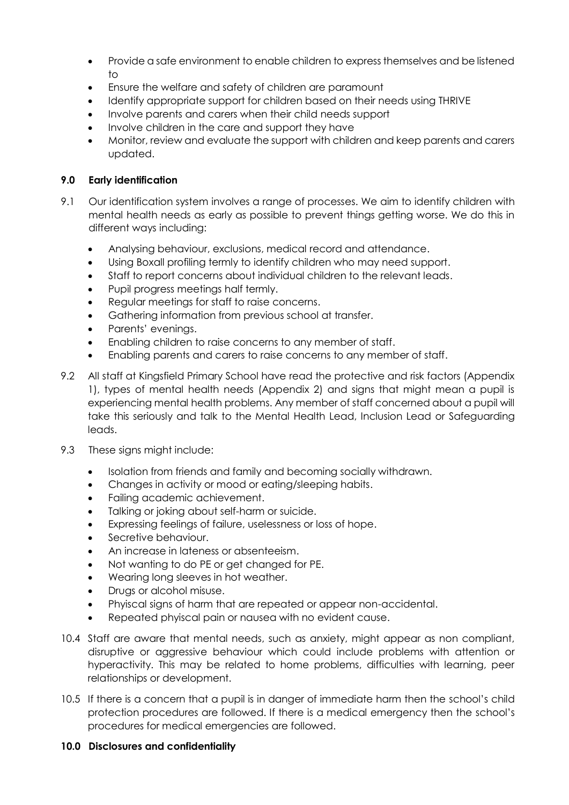- Provide a safe environment to enable children to express themselves and be listened to
- Ensure the welfare and safety of children are paramount
- Identify appropriate support for children based on their needs using THRIVE
- Involve parents and carers when their child needs support
- Involve children in the care and support they have
- Monitor, review and evaluate the support with children and keep parents and carers updated.

#### **9.0 Early identification**

- 9.1 Our identification system involves a range of processes. We aim to identify children with mental health needs as early as possible to prevent things getting worse. We do this in different ways including:
	- Analysing behaviour, exclusions, medical record and attendance.
	- Using Boxall profiling termly to identify children who may need support.
	- Staff to report concerns about individual children to the relevant leads.
	- Pupil progress meetings half termly.
	- Regular meetings for staff to raise concerns.
	- Gathering information from previous school at transfer.
	- Parents' evenings.
	- Enabling children to raise concerns to any member of staff.
	- Enabling parents and carers to raise concerns to any member of staff.
- 9.2 All staff at Kingsfield Primary School have read the protective and risk factors (Appendix 1), types of mental health needs (Appendix 2) and signs that might mean a pupil is experiencing mental health problems. Any member of staff concerned about a pupil will take this seriously and talk to the Mental Health Lead, Inclusion Lead or Safeguarding leads.
- 9.3 These signs might include:
	- Isolation from friends and family and becoming socially withdrawn.
	- Changes in activity or mood or eating/sleeping habits.
	- Failing academic achievement.
	- Talking or joking about self-harm or suicide.
	- Expressing feelings of failure, uselessness or loss of hope.
	- Secretive behaviour.
	- An increase in lateness or absenteeism.
	- Not wanting to do PE or get changed for PE.
	- Wearing long sleeves in hot weather.
	- Drugs or alcohol misuse.
	- Phyiscal signs of harm that are repeated or appear non-accidental.
	- Repeated phyiscal pain or nausea with no evident cause.
- 10.4 Staff are aware that mental needs, such as anxiety, might appear as non compliant, disruptive or aggressive behaviour which could include problems with attention or hyperactivity. This may be related to home problems, difficulties with learning, peer relationships or development.
- 10.5 If there is a concern that a pupil is in danger of immediate harm then the school's child protection procedures are followed. If there is a medical emergency then the school's procedures for medical emergencies are followed.

#### **10.0 Disclosures and confidentiality**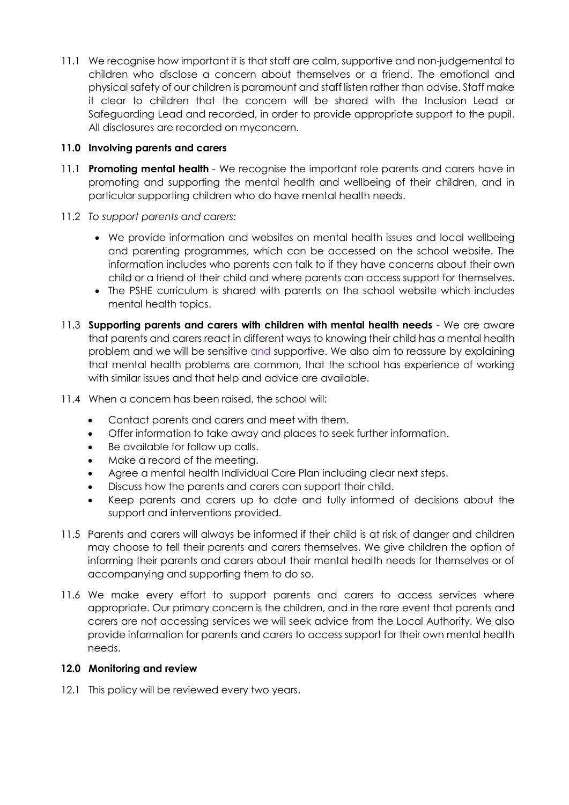11.1 We recognise how important it is that staff are calm, supportive and non-judgemental to children who disclose a concern about themselves or a friend. The emotional and physical safety of our children is paramount and staff listen rather than advise. Staff make it clear to children that the concern will be shared with the Inclusion Lead or Safeguarding Lead and recorded, in order to provide appropriate support to the pupil. All disclosures are recorded on myconcern.

#### **11.0 Involving parents and carers**

- 11.1 **Promoting mental health** *-* We recognise the important role parents and carers have in promoting and supporting the mental health and wellbeing of their children, and in particular supporting children who do have mental health needs.
- 11.2 *To support parents and carers:*
	- We provide information and websites on mental health issues and local wellbeing and parenting programmes, which can be accessed on the school website. The information includes who parents can talk to if they have concerns about their own child or a friend of their child and where parents can access support for themselves.
	- The PSHE curriculum is shared with parents on the school website which includes mental health topics.
- 11.3 **Supporting parents and carers with children with mental health needs** We are aware that parents and carers react in different ways to knowing their child has a mental health problem and we will be sensitive and supportive. We also aim to reassure by explaining that mental health problems are common, that the school has experience of working with similar issues and that help and advice are available.
- 11.4 When a concern has been raised, the school will:
	- Contact parents and carers and meet with them.
	- Offer information to take away and places to seek further information.
	- Be available for follow up calls.
	- Make a record of the meeting.
	- Agree a mental health Individual Care Plan including clear next steps.
	- Discuss how the parents and carers can support their child.
	- Keep parents and carers up to date and fully informed of decisions about the support and interventions provided.
- 11.5 Parents and carers will always be informed if their child is at risk of danger and children may choose to tell their parents and carers themselves. We give children the option of informing their parents and carers about their mental health needs for themselves or of accompanying and supporting them to do so.
- 11.6 We make every effort to support parents and carers to access services where appropriate. Our primary concern is the children, and in the rare event that parents and carers are not accessing services we will seek advice from the Local Authority. We also provide information for parents and carers to access support for their own mental health needs.

#### **12.0 Monitoring and review**

12.1 This policy will be reviewed every two years.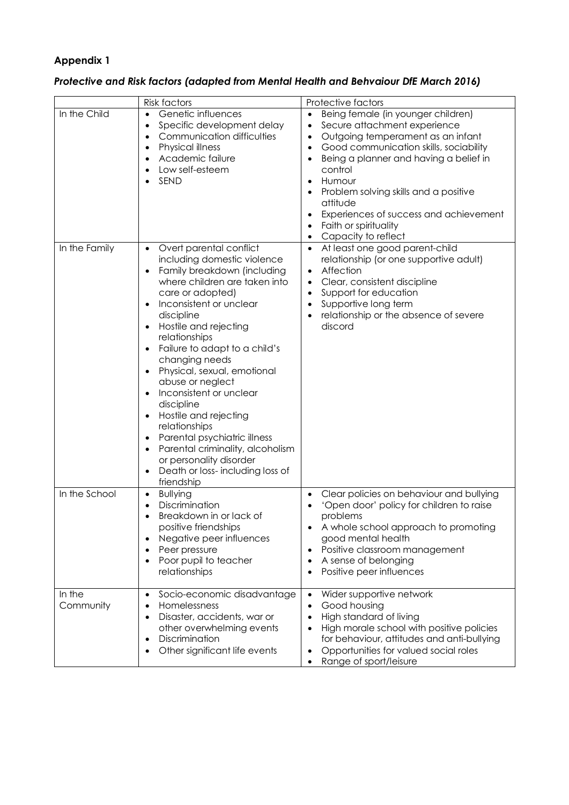#### **Appendix 1**

| Protective and Risk factors (adapted from Mental Health and Behvaiour DfE March 2016) |  |  |
|---------------------------------------------------------------------------------------|--|--|
|---------------------------------------------------------------------------------------|--|--|

|                     | <b>Risk factors</b>                                                                                                                                                                                                                                                                                                                                                                                                                                                                                                                                                    | Protective factors                                                                                                                                                                                                                                                                                                                                                                                                                            |
|---------------------|------------------------------------------------------------------------------------------------------------------------------------------------------------------------------------------------------------------------------------------------------------------------------------------------------------------------------------------------------------------------------------------------------------------------------------------------------------------------------------------------------------------------------------------------------------------------|-----------------------------------------------------------------------------------------------------------------------------------------------------------------------------------------------------------------------------------------------------------------------------------------------------------------------------------------------------------------------------------------------------------------------------------------------|
| In the Child        | Genetic influences<br>$\bullet$<br>Specific development delay<br>$\bullet$<br>Communication difficulties<br>$\bullet$<br>Physical illness<br>$\bullet$<br>Academic failure<br>Low self-esteem<br>SEND                                                                                                                                                                                                                                                                                                                                                                  | Being female (in younger children)<br>$\bullet$<br>Secure attachment experience<br>$\bullet$<br>Outgoing temperament as an infant<br>$\bullet$<br>Good communication skills, sociability<br>$\bullet$<br>Being a planner and having a belief in<br>$\bullet$<br>control<br>Humour<br>$\bullet$<br>Problem solving skills and a positive<br>attitude<br>Experiences of success and achievement<br>Faith or spirituality<br>Capacity to reflect |
| In the Family       | Overt parental conflict<br>including domestic violence<br>Family breakdown (including<br>where children are taken into<br>care or adopted)<br>Inconsistent or unclear<br>discipline<br>Hostile and rejecting<br>relationships<br>Failure to adapt to a child's<br>changing needs<br>Physical, sexual, emotional<br>abuse or neglect<br>Inconsistent or unclear<br>discipline<br>Hostile and rejecting<br>relationships<br>Parental psychiatric illness<br>Parental criminality, alcoholism<br>or personality disorder<br>Death or loss-including loss of<br>friendship | At least one good parent-child<br>relationship (or one supportive adult)<br>Affection<br>$\bullet$<br>Clear, consistent discipline<br>$\bullet$<br>Support for education<br>$\bullet$<br>Supportive long term<br>relationship or the absence of severe<br>discord                                                                                                                                                                             |
| In the School       | <b>Bullying</b><br>$\bullet$<br>Discrimination<br>Breakdown in or lack of<br>positive friendships<br>Negative peer influences<br>Peer pressure<br>Poor pupil to teacher<br>relationships                                                                                                                                                                                                                                                                                                                                                                               | Clear policies on behaviour and bullying<br>$\bullet$<br>'Open door' policy for children to raise<br>problems<br>A whole school approach to promoting<br>good mental health<br>Positive classroom management<br>A sense of belonging<br>Positive peer influences                                                                                                                                                                              |
| In the<br>Community | Socio-economic disadvantage<br>$\bullet$<br>Homelessness<br>$\bullet$<br>Disaster, accidents, war or<br>$\bullet$<br>other overwhelming events<br>Discrimination<br>٠<br>Other significant life events                                                                                                                                                                                                                                                                                                                                                                 | Wider supportive network<br>$\bullet$<br>Good housing<br>$\bullet$<br>High standard of living<br>High morale school with positive policies<br>for behaviour, attitudes and anti-bullying<br>Opportunities for valued social roles<br>٠<br>Range of sport/leisure                                                                                                                                                                              |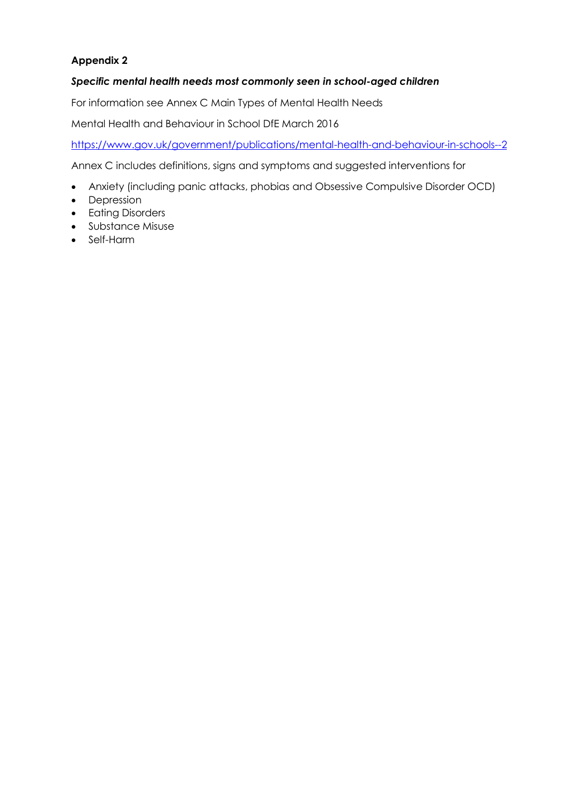#### **Appendix 2**

#### *Specific mental health needs most commonly seen in school-aged children*

For information see Annex C Main Types of Mental Health Needs

Mental Health and Behaviour in School DfE March 2016

<https://www.gov.uk/government/publications/mental-health-and-behaviour-in-schools--2>

Annex C includes definitions, signs and symptoms and suggested interventions for

- Anxiety (including panic attacks, phobias and Obsessive Compulsive Disorder OCD)
- Depression
- Eating Disorders
- Substance Misuse
- Self-Harm